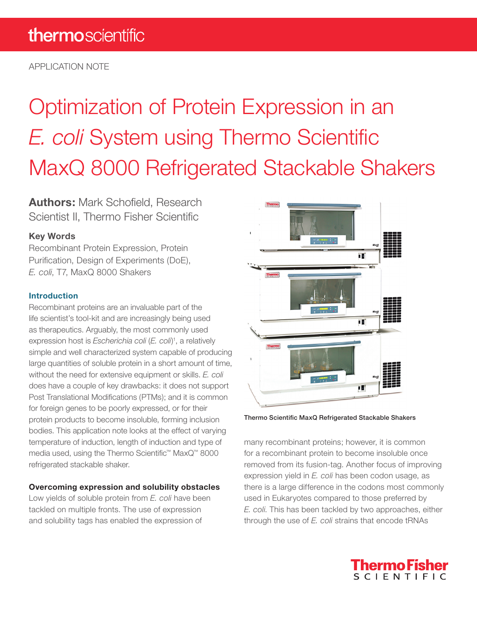APPLICATION NOTE

# Optimization of Protein Expression in an *E. coli* System using Thermo Scientific MaxQ 8000 Refrigerated Stackable Shakers

**Authors:** Mark Schofield, Research Scientist II, Thermo Fisher Scientific

## **Key Words**

Recombinant Protein Expression, Protein Purification, Design of Experiments (DoE), *E. coli*, T7, MaxQ 8000 Shakers

## **Introduction**

Recombinant proteins are an invaluable part of the life scientist's tool-kit and are increasingly being used as therapeutics. Arguably, the most commonly used expression host is *Escherichia coli* (*E. coli*) 1 , a relatively simple and well characterized system capable of producing large quantities of soluble protein in a short amount of time, without the need for extensive equipment or skills. *E. coli* does have a couple of key drawbacks: it does not support Post Translational Modifications (PTMs); and it is common for foreign genes to be poorly expressed, or for their protein products to become insoluble, forming inclusion bodies. This application note looks at the effect of varying temperature of induction, length of induction and type of media used, using the Thermo Scientific™ MaxQ™ 8000 refrigerated stackable shaker.

## **Overcoming expression and solubility obstacles**

Low yields of soluble protein from *E. coli* have been tackled on multiple fronts. The use of expression and solubility tags has enabled the expression of



Thermo Scientific MaxQ Refrigerated Stackable Shakers

many recombinant proteins; however, it is common for a recombinant protein to become insoluble once removed from its fusion-tag. Another focus of improving expression yield in *E. coli* has been codon usage, as there is a large difference in the codons most commonly used in Eukaryotes compared to those preferred by *E. coli*. This has been tackled by two approaches, either through the use of *E. coli* strains that encode tRNAs

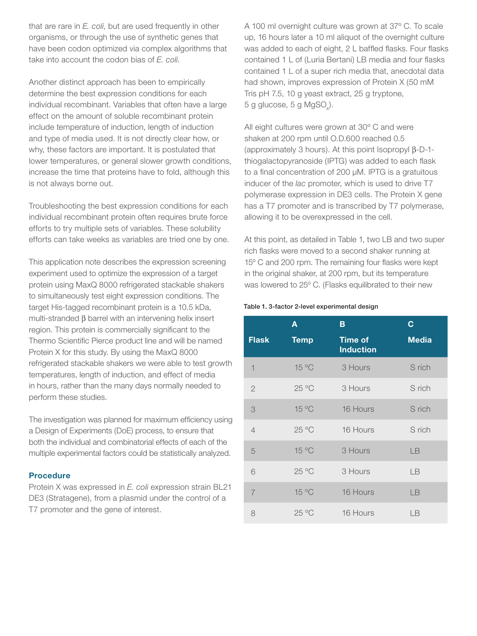that are rare in *E. coli*, but are used frequently in other organisms, or through the use of synthetic genes that have been codon optimized via complex algorithms that take into account the codon bias of *E. coli*.

Another distinct approach has been to empirically determine the best expression conditions for each individual recombinant. Variables that often have a large effect on the amount of soluble recombinant protein include temperature of induction, length of induction and type of media used. It is not directly clear how, or why, these factors are important. It is postulated that lower temperatures, or general slower growth conditions, increase the time that proteins have to fold, although this is not always borne out.

Troubleshooting the best expression conditions for each individual recombinant protein often requires brute force efforts to try multiple sets of variables. These solubility efforts can take weeks as variables are tried one by one.

This application note describes the expression screening experiment used to optimize the expression of a target protein using MaxQ 8000 refrigerated stackable shakers to simultaneously test eight expression conditions. The target His-tagged recombinant protein is a 10.5 kDa, multi-stranded β barrel with an intervening helix insert region. This protein is commercially significant to the Thermo Scientific Pierce product line and will be named Protein X for this study. By using the MaxQ 8000 refrigerated stackable shakers we were able to test growth temperatures, length of induction, and effect of media in hours, rather than the many days normally needed to perform these studies.

The investigation was planned for maximum efficiency using a Design of Experiments (DoE) process, to ensure that both the individual and combinatorial effects of each of the multiple experimental factors could be statistically analyzed.

#### **Procedure**

Protein X was expressed in *E. coli* expression strain BL21 DE3 (Stratagene), from a plasmid under the control of a T7 promoter and the gene of interest.

A 100 ml overnight culture was grown at 37º C. To scale up, 16 hours later a 10 ml aliquot of the overnight culture was added to each of eight, 2 L baffled flasks. Four flasks contained 1 L of (Luria Bertani) LB media and four flasks contained 1 L of a super rich media that, anecdotal data had shown, improves expression of Protein X (50 mM Tris pH 7.5, 10 g yeast extract, 25 g tryptone,  $5 g$  glucose,  $5 g$  MgSO<sub>4</sub>).

All eight cultures were grown at 30º C and were shaken at 200 rpm until O.D.600 reached 0.5 (approximately 3 hours). At this point Isopropyl β-D-1 thiogalactopyranoside (IPTG) was added to each flask to a final concentration of 200 μM. IPTG is a gratuitous inducer of the *lac* promoter, which is used to drive T7 polymerase expression in DE3 cells. The Protein X gene has a T7 promoter and is transcribed by T7 polymerase, allowing it to be overexpressed in the cell.

At this point, as detailed in Table 1, two LB and two super rich flasks were moved to a second shaker running at 15º C and 200 rpm. The remaining four flasks were kept in the original shaker, at 200 rpm, but its temperature was lowered to 25º C. (Flasks equilibrated to their new

#### Table 1. 3-factor 2-level experimental design

|                          | A           | B                                  | С            |
|--------------------------|-------------|------------------------------------|--------------|
| <b>Flask</b>             | <b>Temp</b> | <b>Time of</b><br><b>Induction</b> | <b>Media</b> |
| $\overline{\phantom{a}}$ | 15 °C       | 3 Hours                            | S rich       |
| $\mathbf{2}$             | 25 °C       | 3 Hours                            | S rich       |
| 3                        | 15 °C       | 16 Hours                           | S rich       |
| $\overline{4}$           | 25 °C       | 16 Hours                           | S rich       |
| 5                        | 15 °C       | 3 Hours                            | LB           |
| 6                        | 25 °C       | 3 Hours                            | IB           |
| $\overline{7}$           | 15 °C       | 16 Hours                           | LB           |
| 8                        | 25 °C       | 16 Hours                           | ΙB           |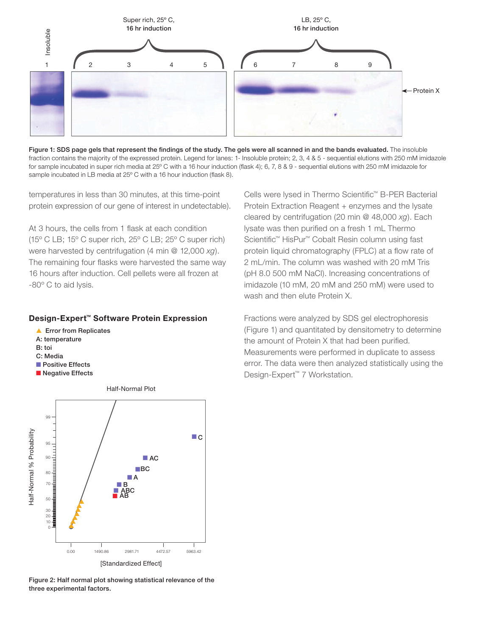

Figure 1: SDS page gels that represent the findings of the study. The gels were all scanned in and the bands evaluated. The insoluble fraction contains the majority of the expressed protein. Legend for lanes: 1- Insoluble protein; 2, 3, 4 & 5 - sequential elutions with 250 mM imidazole for sample incubated in super rich media at 25º C with a 16 hour induction (flask 4); 6, 7, 8 & 9 - sequential elutions with 250 mM imidazole for sample incubated in LB media at 25º C with a 16 hour induction (flask 8).

temperatures in less than 30 minutes, at this time-point protein expression of our gene of interest in undetectable).

At 3 hours, the cells from 1 flask at each condition (15º C LB; 15º C super rich, 25º C LB; 25º C super rich) were harvested by centrifugation (4 min @ 12,000 *xg*). The remaining four flasks were harvested the same way 16 hours after induction. Cell pellets were all frozen at -80º C to aid lysis.

#### Design-Expert™ Software Protein Expression

- ▲ Error from Replicates
- A: temperature
- B: toi
- C: Media
- Positive Effects
- Negative Effects

Half-Normal Plot 99 Half-Normal % Probability Half-Normal % Probability ■ C 95 90 ■ AC ■ BC 80 ■ A 70 ■B<br>■ ABC<br>■ AB ■ ■ 50 ▲ ▲ 30 ▲ ▲ 20 10 ▲ ▲ ▲ 0.00 1490.86 2981.71 4472.57 5963.42[Standardized Effect]

Figure 2: Half normal plot showing statistical relevance of the three experimental factors.

Cells were lysed in Thermo Scientific™ B-PER Bacterial Protein Extraction Reagent + enzymes and the lysate cleared by centrifugation (20 min @ 48,000 *xg*). Each lysate was then purified on a fresh 1 mL Thermo Scientific™ HisPur™ Cobalt Resin column using fast protein liquid chromatography (FPLC) at a flow rate of 2 mL/min. The column was washed with 20 mM Tris (pH 8.0 500 mM NaCl). Increasing concentrations of imidazole (10 mM, 20 mM and 250 mM) were used to wash and then elute Protein X.

Fractions were analyzed by SDS gel electrophoresis (Figure 1) and quantitated by densitometry to determine the amount of Protein X that had been purified. Measurements were performed in duplicate to assess error. The data were then analyzed statistically using the Design-Expert™ 7 Workstation.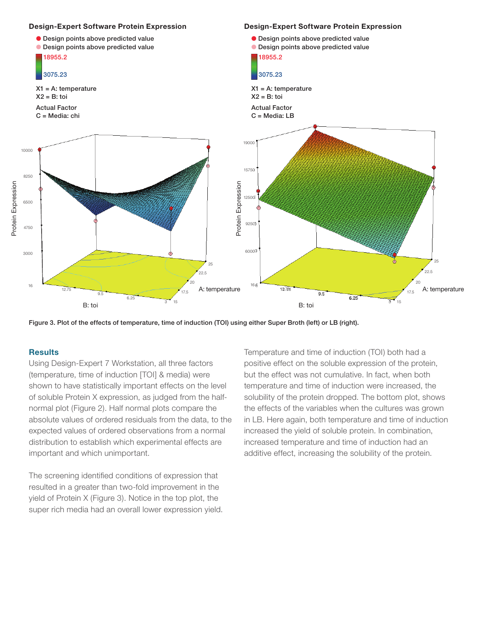



#### **Results**

Using Design-Expert 7 Workstation, all three factors (temperature, time of induction [TOI] & media) were shown to have statistically important effects on the level of soluble Protein X expression, as judged from the halfnormal plot (Figure 2). Half normal plots compare the absolute values of ordered residuals from the data, to the expected values of ordered observations from a normal distribution to establish which experimental effects are important and which unimportant.

The screening identified conditions of expression that resulted in a greater than two-fold improvement in the yield of Protein X (Figure 3). Notice in the top plot, the super rich media had an overall lower expression yield. Temperature and time of induction (TOI) both had a positive effect on the soluble expression of the protein, but the effect was not cumulative. In fact, when both temperature and time of induction were increased, the solubility of the protein dropped. The bottom plot, shows the effects of the variables when the cultures was grown in LB. Here again, both temperature and time of induction increased the yield of soluble protein. In combination, increased temperature and time of induction had an additive effect, increasing the solubility of the protein.